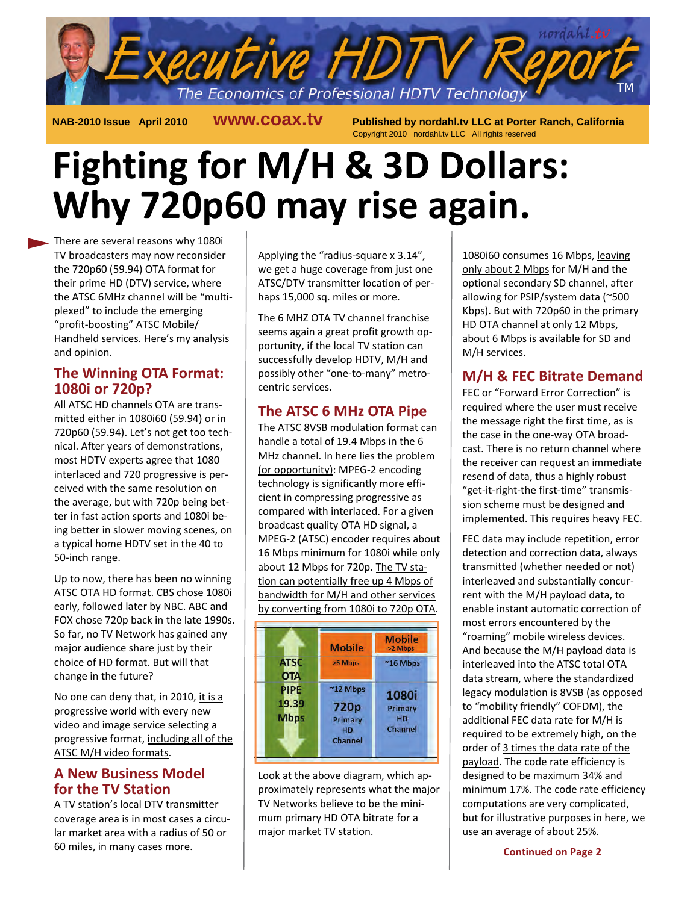

 **NAB-2010 Issue April 2010 www.coax.tv Published by nordahl.tv LLC at Porter Ranch, California**  Copyright 2010 nordahl.tv LLC All rights reserved

# **Fighting for M/H & 3D Dollars: Why 720p60 may rise again.**

There are several reasons why 1080i TV broadcasters may now reconsider the 720p60 (59.94) OTA format for their prime HD (DTV) service, where the ATSC 6MHz channel will be "multiplexed" to include the emerging "profit-boosting" ATSC Mobile/ Handheld services. Here's my analysis and opinion.

#### **The Winning OTA Format: 1080i or 720p?**

All ATSC HD channels OTA are transmitted either in 1080i60 (59.94) or in 720p60 (59.94). Let's not get too technical. After years of demonstrations, most HDTV experts agree that 1080 interlaced and 720 progressive is perceived with the same resolution on the average, but with 720p being better in fast action sports and 1080i being better in slower moving scenes, on a typical home HDTV set in the 40 to 50-inch range.

Up to now, there has been no winning ATSC OTA HD format. CBS chose 1080i early, followed later by NBC. ABC and FOX chose 720p back in the late 1990s. So far, no TV Network has gained any major audience share just by their choice of HD format. But will that change in the future?

No one can deny that, in 2010, it is a progressive world with every new video and image service selecting a progressive format, including all of the ATSC M/H video formats.

# **A New Business Model for the TV Station**

A TV station's local DTV transmitter coverage area is in most cases a circular market area with a radius of 50 or 60 miles, in many cases more.

Applying the "radius-square x 3.14", we get a huge coverage from just one ATSC/DTV transmitter location of perhaps 15,000 sq. miles or more.

The 6 MHZ OTA TV channel franchise seems again a great profit growth opportunity, if the local TV station can successfully develop HDTV, M/H and possibly other "one-to-many" metrocentric services.

# **The ATSC 6 MHz OTA Pipe**

The ATSC 8VSB modulation format can handle a total of 19.4 Mbps in the 6 MHz channel. In here lies the problem (or opportunity): MPEG-2 encoding technology is significantly more efficient in compressing progressive as compared with interlaced. For a given broadcast quality OTA HD signal, a MPEG-2 (ATSC) encoder requires about 16 Mbps minimum for 1080i while only about 12 Mbps for 720p. The TV station can potentially free up 4 Mbps of bandwidth for M/H and other services by converting from 1080i to 720p OTA.



Look at the above diagram, which approximately represents what the major TV Networks believe to be the minimum primary HD OTA bitrate for a major market TV station.

1080i60 consumes 16 Mbps, leaving only about 2 Mbps for M/H and the optional secondary SD channel, after allowing for PSIP/system data (~500 Kbps). But with 720p60 in the primary HD OTA channel at only 12 Mbps, about 6 Mbps is available for SD and M/H services.

# **M/H & FEC Bitrate Demand**

FEC or "Forward Error Correction" is required where the user must receive the message right the first time, as is the case in the one-way OTA broadcast. There is no return channel where the receiver can request an immediate resend of data, thus a highly robust "get-it-right-the first-time" transmission scheme must be designed and implemented. This requires heavy FEC.

FEC data may include repetition, error detection and correction data, always transmitted (whether needed or not) interleaved and substantially concurrent with the M/H payload data, to enable instant automatic correction of most errors encountered by the "roaming" mobile wireless devices. And because the M/H payload data is interleaved into the ATSC total OTA data stream, where the standardized legacy modulation is 8VSB (as opposed to "mobility friendly" COFDM), the additional FEC data rate for M/H is required to be extremely high, on the order of 3 times the data rate of the payload. The code rate efficiency is designed to be maximum 34% and minimum 17%. The code rate efficiency computations are very complicated, but for illustrative purposes in here, we use an average of about 25%.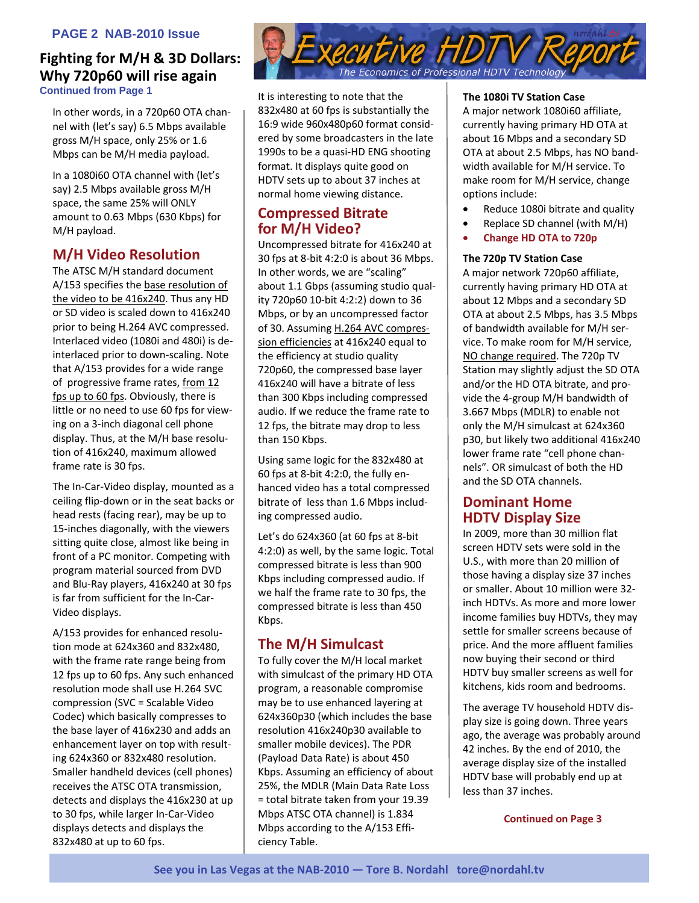#### **PAGE 2 NAB-2010 Issue**

#### **Fighting for M/H & 3D Dollars: Why 720p60 will rise again Continued from Page 1**

In other words, in a 720p60 OTA channel with (let's say) 6.5 Mbps available gross M/H space, only 25% or 1.6 Mbps can be M/H media payload.

In a 1080i60 OTA channel with (let's say) 2.5 Mbps available gross M/H space, the same 25% will ONLY amount to 0.63 Mbps (630 Kbps) for M/H payload.

# **M/H Video Resolution**

The ATSC M/H standard document A/153 specifies the base resolution of the video to be 416x240. Thus any HD or SD video is scaled down to 416x240 prior to being H.264 AVC compressed. Interlaced video (1080i and 480i) is deinterlaced prior to down-scaling. Note that A/153 provides for a wide range of progressive frame rates, from 12 fps up to 60 fps. Obviously, there is little or no need to use 60 fps for viewing on a 3-inch diagonal cell phone display. Thus, at the M/H base resolution of 416x240, maximum allowed frame rate is 30 fps.

The In-Car-Video display, mounted as a ceiling flip-down or in the seat backs or head rests (facing rear), may be up to 15-inches diagonally, with the viewers sitting quite close, almost like being in front of a PC monitor. Competing with program material sourced from DVD and Blu-Ray players, 416x240 at 30 fps is far from sufficient for the In-Car-Video displays.

A/153 provides for enhanced resolution mode at 624x360 and 832x480, with the frame rate range being from 12 fps up to 60 fps. Any such enhanced resolution mode shall use H.264 SVC compression (SVC = Scalable Video Codec) which basically compresses to the base layer of 416x230 and adds an enhancement layer on top with resulting 624x360 or 832x480 resolution. Smaller handheld devices (cell phones) receives the ATSC OTA transmission, detects and displays the 416x230 at up to 30 fps, while larger In-Car-Video displays detects and displays the 832x480 at up to 60 fps.



It is interesting to note that the 832x480 at 60 fps is substantially the 16:9 wide 960x480p60 format considered by some broadcasters in the late 1990s to be a quasi-HD ENG shooting format. It displays quite good on HDTV sets up to about 37 inches at normal home viewing distance.

# **Compressed Bitrate for M/H Video?**

Uncompressed bitrate for 416x240 at 30 fps at 8-bit 4:2:0 is about 36 Mbps. In other words, we are "scaling" about 1.1 Gbps (assuming studio quality 720p60 10-bit 4:2:2) down to 36 Mbps, or by an uncompressed factor of 30. Assuming H.264 AVC compression efficiencies at 416x240 equal to the efficiency at studio quality 720p60, the compressed base layer 416x240 will have a bitrate of less than 300 Kbps including compressed audio. If we reduce the frame rate to 12 fps, the bitrate may drop to less than 150 Kbps.

Using same logic for the 832x480 at 60 fps at 8-bit 4:2:0, the fully enhanced video has a total compressed bitrate of less than 1.6 Mbps including compressed audio.

Let's do 624x360 (at 60 fps at 8-bit 4:2:0) as well, by the same logic. Total compressed bitrate is less than 900 Kbps including compressed audio. If we half the frame rate to 30 fps, the compressed bitrate is less than 450 Kbps.

# **The M/H Simulcast**

To fully cover the M/H local market with simulcast of the primary HD OTA program, a reasonable compromise may be to use enhanced layering at 624x360p30 (which includes the base resolution 416x240p30 available to smaller mobile devices). The PDR (Payload Data Rate) is about 450 Kbps. Assuming an efficiency of about 25%, the MDLR (Main Data Rate Loss = total bitrate taken from your 19.39 Mbps ATSC OTA channel) is 1.834 Mbps according to the A/153 Efficiency Table.

#### **The 1080i TV Station Case**

A major network 1080i60 affiliate, currently having primary HD OTA at about 16 Mbps and a secondary SD OTA at about 2.5 Mbps, has NO bandwidth available for M/H service. To make room for M/H service, change options include:

- Reduce 1080i bitrate and quality
- Replace SD channel (with M/H)
- **Change HD OTA to 720p**

#### **The 720p TV Station Case**

A major network 720p60 affiliate, currently having primary HD OTA at about 12 Mbps and a secondary SD OTA at about 2.5 Mbps, has 3.5 Mbps of bandwidth available for M/H service. To make room for M/H service, NO change required. The 720p TV Station may slightly adjust the SD OTA and/or the HD OTA bitrate, and provide the 4-group M/H bandwidth of 3.667 Mbps (MDLR) to enable not only the M/H simulcast at 624x360 p30, but likely two additional 416x240 lower frame rate "cell phone channels". OR simulcast of both the HD and the SD OTA channels.

#### **Dominant Home HDTV Display Size**

In 2009, more than 30 million flat screen HDTV sets were sold in the U.S., with more than 20 million of those having a display size 37 inches or smaller. About 10 million were 32 inch HDTVs. As more and more lower income families buy HDTVs, they may settle for smaller screens because of price. And the more affluent families now buying their second or third HDTV buy smaller screens as well for kitchens, kids room and bedrooms.

The average TV household HDTV display size is going down. Three years ago, the average was probably around 42 inches. By the end of 2010, the average display size of the installed HDTV base will probably end up at less than 37 inches.

 **Continued on Page 3**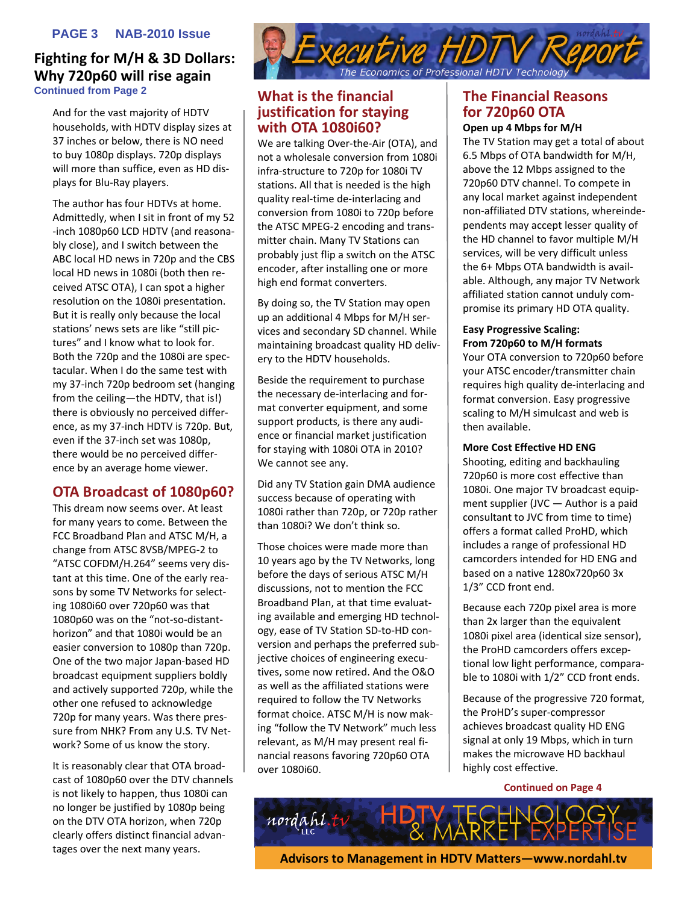#### **PAGE 3 NAB-2010 Issue**

#### **Fighting for M/H & 3D Dollars: Why 720p60 will rise again Continued from Page 2**

And for the vast majority of HDTV households, with HDTV display sizes at 37 inches or below, there is NO need to buy 1080p displays. 720p displays will more than suffice, even as HD displays for Blu-Ray players.

The author has four HDTVs at home. Admittedly, when I sit in front of my 52 -inch 1080p60 LCD HDTV (and reasonably close), and I switch between the ABC local HD news in 720p and the CBS local HD news in 1080i (both then received ATSC OTA), I can spot a higher resolution on the 1080i presentation. But it is really only because the local stations' news sets are like "still pictures" and I know what to look for. Both the 720p and the 1080i are spectacular. When I do the same test with my 37-inch 720p bedroom set (hanging from the ceiling—the HDTV, that is!) there is obviously no perceived difference, as my 37-inch HDTV is 720p. But, even if the 37-inch set was 1080p, there would be no perceived difference by an average home viewer.

#### **OTA Broadcast of 1080p60?**

This dream now seems over. At least for many years to come. Between the FCC Broadband Plan and ATSC M/H, a change from ATSC 8VSB/MPEG-2 to "ATSC COFDM/H.264" seems very distant at this time. One of the early reasons by some TV Networks for selecting 1080i60 over 720p60 was that 1080p60 was on the "not-so-distanthorizon" and that 1080i would be an easier conversion to 1080p than 720p. One of the two major Japan-based HD broadcast equipment suppliers boldly and actively supported 720p, while the other one refused to acknowledge 720p for many years. Was there pressure from NHK? From any U.S. TV Network? Some of us know the story.

It is reasonably clear that OTA broadcast of 1080p60 over the DTV channels is not likely to happen, thus 1080i can no longer be justified by 1080p being on the DTV OTA horizon, when 720p clearly offers distinct financial advantages over the next many years.



#### **What is the financial justification for staying with OTA 1080i60?**

We are talking Over-the-Air (OTA), and not a wholesale conversion from 1080i infra-structure to 720p for 1080i TV stations. All that is needed is the high quality real-time de-interlacing and conversion from 1080i to 720p before the ATSC MPEG-2 encoding and transmitter chain. Many TV Stations can probably just flip a switch on the ATSC encoder, after installing one or more high end format converters.

By doing so, the TV Station may open up an additional 4 Mbps for M/H services and secondary SD channel. While maintaining broadcast quality HD delivery to the HDTV households.

Beside the requirement to purchase the necessary de-interlacing and format converter equipment, and some support products, is there any audience or financial market justification for staying with 1080i OTA in 2010? We cannot see any.

Did any TV Station gain DMA audience success because of operating with 1080i rather than 720p, or 720p rather than 1080i? We don't think so.

Those choices were made more than 10 years ago by the TV Networks, long before the days of serious ATSC M/H discussions, not to mention the FCC Broadband Plan, at that time evaluating available and emerging HD technology, ease of TV Station SD-to-HD conversion and perhaps the preferred subjective choices of engineering executives, some now retired. And the O&O as well as the affiliated stations were required to follow the TV Networks format choice. ATSC M/H is now making "follow the TV Network" much less relevant, as M/H may present real financial reasons favoring 720p60 OTA over 1080i60.

# **The Financial Reasons for 720p60 OTA**

#### **Open up 4 Mbps for M/H**

The TV Station may get a total of about 6.5 Mbps of OTA bandwidth for M/H, above the 12 Mbps assigned to the 720p60 DTV channel. To compete in any local market against independent non-affiliated DTV stations, whereindependents may accept lesser quality of the HD channel to favor multiple M/H services, will be very difficult unless the 6+ Mbps OTA bandwidth is available. Although, any major TV Network affiliated station cannot unduly compromise its primary HD OTA quality.

#### **Easy Progressive Scaling: From 720p60 to M/H formats**

Your OTA conversion to 720p60 before your ATSC encoder/transmitter chain requires high quality de-interlacing and format conversion. Easy progressive scaling to M/H simulcast and web is then available.

#### **More Cost Effective HD ENG**

Shooting, editing and backhauling 720p60 is more cost effective than 1080i. One major TV broadcast equipment supplier (JVC — Author is a paid consultant to JVC from time to time) offers a format called ProHD, which includes a range of professional HD camcorders intended for HD ENG and based on a native 1280x720p60 3x 1/3" CCD front end.

Because each 720p pixel area is more than 2x larger than the equivalent 1080i pixel area (identical size sensor), the ProHD camcorders offers exceptional low light performance, comparable to 1080i with 1/2" CCD front ends.

Because of the progressive 720 format, the ProHD's super-compressor achieves broadcast quality HD ENG signal at only 19 Mbps, which in turn makes the microwave HD backhaul highly cost effective.

 **Continued on Page 4**



**Advisors to Management in HDTV Matters—www.nordahl.tv**